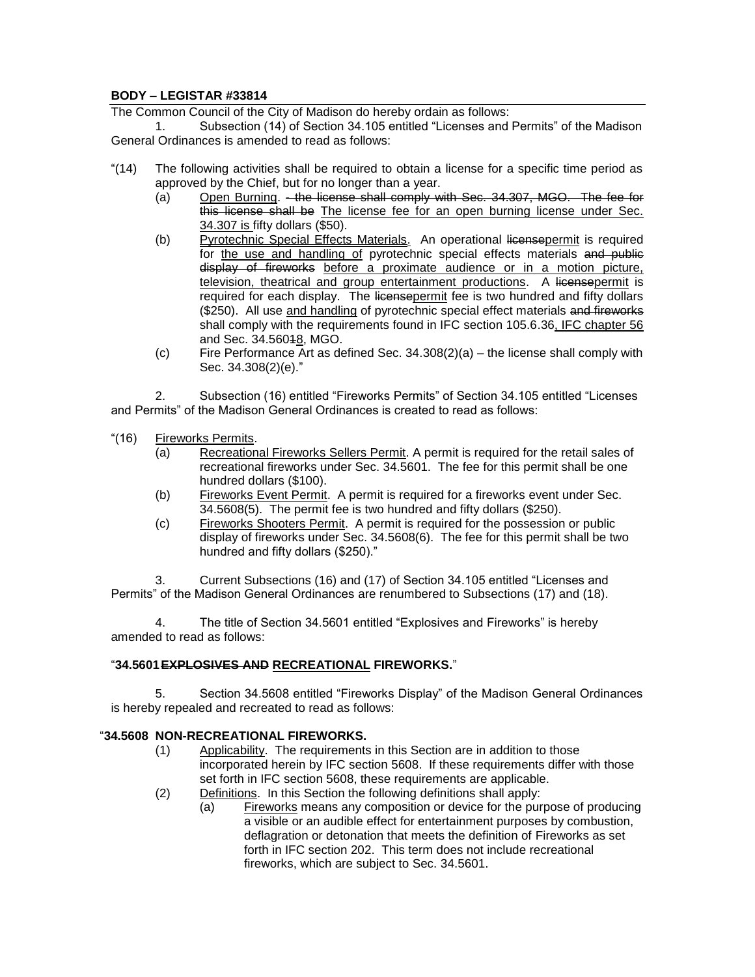# **BODY – LEGISTAR #33814**

The Common Council of the City of Madison do hereby ordain as follows:

1. Subsection (14) of Section 34.105 entitled "Licenses and Permits" of the Madison General Ordinances is amended to read as follows:

- "(14) The following activities shall be required to obtain a license for a specific time period as approved by the Chief, but for no longer than a year.
	- (a) Open Burning. the license shall comply with Sec. 34.307, MGO. The fee for this license shall be The license fee for an open burning license under Sec. 34.307 is fifty dollars (\$50).
	- (b) Pyrotechnic Special Effects Materials. An operational licensepermit is required for the use and handling of pyrotechnic special effects materials and public display of fireworks before a proximate audience or in a motion picture, television, theatrical and group entertainment productions. A licensepermit is required for each display. The licensepermit fee is two hundred and fifty dollars (\$250). All use and handling of pyrotechnic special effect materials and fireworks shall comply with the requirements found in IFC section 105.6.36, IFC chapter 56 and Sec. 34.56048, MGO.
	- $(c)$  Fire Performance Art as defined Sec. 34.308(2)(a) the license shall comply with Sec. 34.308(2)(e)."

2. Subsection (16) entitled "Fireworks Permits" of Section 34.105 entitled "Licenses and Permits" of the Madison General Ordinances is created to read as follows:

- "(16) Fireworks Permits.
	- (a) Recreational Fireworks Sellers Permit. A permit is required for the retail sales of recreational fireworks under Sec. 34.5601. The fee for this permit shall be one hundred dollars (\$100).
	- (b) Fireworks Event Permit. A permit is required for a fireworks event under Sec. 34.5608(5). The permit fee is two hundred and fifty dollars (\$250).
	- (c) Fireworks Shooters Permit. A permit is required for the possession or public display of fireworks under Sec. 34.5608(6). The fee for this permit shall be two hundred and fifty dollars (\$250)."

3. Current Subsections (16) and (17) of Section 34.105 entitled "Licenses and Permits" of the Madison General Ordinances are renumbered to Subsections (17) and (18).

4. The title of Section 34.5601 entitled "Explosives and Fireworks" is hereby amended to read as follows:

# "**34.5601EXPLOSIVES AND RECREATIONAL FIREWORKS.**"

5. Section 34.5608 entitled "Fireworks Display" of the Madison General Ordinances is hereby repealed and recreated to read as follows:

### "**34.5608 NON-RECREATIONAL FIREWORKS.**

- (1) Applicability. The requirements in this Section are in addition to those incorporated herein by IFC section 5608. If these requirements differ with those set forth in IFC section 5608, these requirements are applicable.
- (2) Definitions. In this Section the following definitions shall apply:
	- (a) Fireworks means any composition or device for the purpose of producing a visible or an audible effect for entertainment purposes by combustion, deflagration or detonation that meets the definition of Fireworks as set forth in IFC section 202. This term does not include recreational fireworks, which are subject to Sec. 34.5601.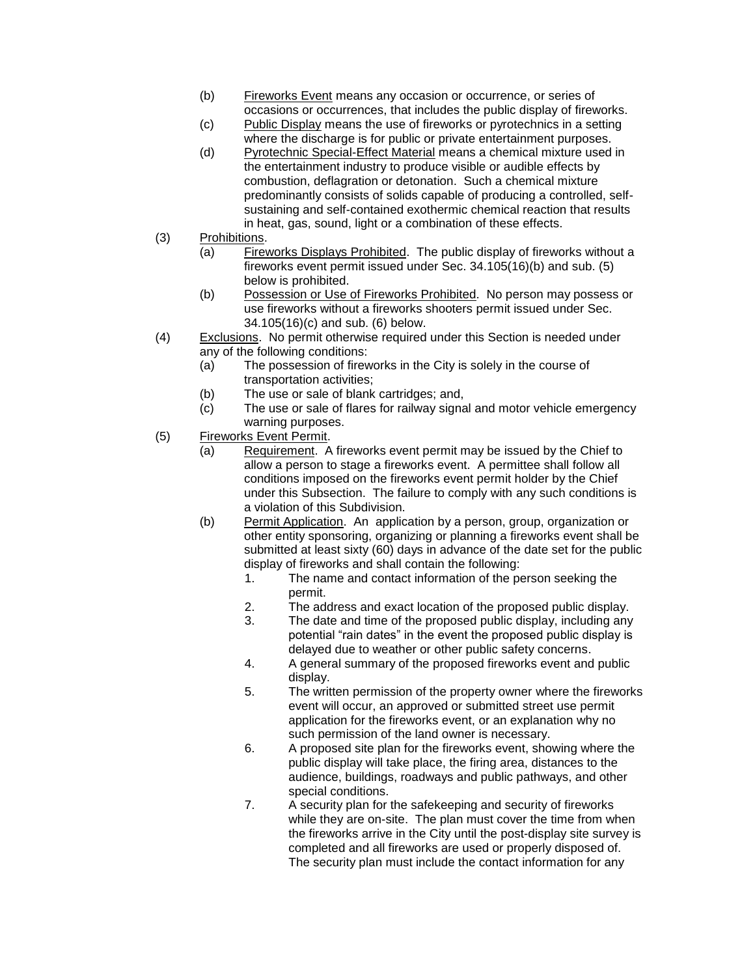- (b) Fireworks Event means any occasion or occurrence, or series of occasions or occurrences, that includes the public display of fireworks.
- (c) Public Display means the use of fireworks or pyrotechnics in a setting where the discharge is for public or private entertainment purposes.
- (d) Pyrotechnic Special-Effect Material means a chemical mixture used in the entertainment industry to produce visible or audible effects by combustion, deflagration or detonation. Such a chemical mixture predominantly consists of solids capable of producing a controlled, selfsustaining and self-contained exothermic chemical reaction that results in heat, gas, sound, light or a combination of these effects.
- (3) Prohibitions.
	- (a) Fireworks Displays Prohibited. The public display of fireworks without a fireworks event permit issued under Sec. 34.105(16)(b) and sub. (5) below is prohibited.
	- (b) Possession or Use of Fireworks Prohibited. No person may possess or use fireworks without a fireworks shooters permit issued under Sec. 34.105(16)(c) and sub. (6) below.
- (4) Exclusions. No permit otherwise required under this Section is needed under any of the following conditions:
	- (a) The possession of fireworks in the City is solely in the course of transportation activities;
	- (b) The use or sale of blank cartridges; and,
	- (c) The use or sale of flares for railway signal and motor vehicle emergency warning purposes.
- (5) Fireworks Event Permit.
	- (a) Requirement. A fireworks event permit may be issued by the Chief to allow a person to stage a fireworks event. A permittee shall follow all conditions imposed on the fireworks event permit holder by the Chief under this Subsection. The failure to comply with any such conditions is a violation of this Subdivision.
	- (b) Permit Application. An application by a person, group, organization or other entity sponsoring, organizing or planning a fireworks event shall be submitted at least sixty (60) days in advance of the date set for the public display of fireworks and shall contain the following:
		- 1. The name and contact information of the person seeking the permit.
		- 2. The address and exact location of the proposed public display.
		- 3. The date and time of the proposed public display, including any potential "rain dates" in the event the proposed public display is delayed due to weather or other public safety concerns.
		- 4. A general summary of the proposed fireworks event and public display.
		- 5. The written permission of the property owner where the fireworks event will occur, an approved or submitted street use permit application for the fireworks event, or an explanation why no such permission of the land owner is necessary.
		- 6. A proposed site plan for the fireworks event, showing where the public display will take place, the firing area, distances to the audience, buildings, roadways and public pathways, and other special conditions.
		- 7. A security plan for the safekeeping and security of fireworks while they are on-site. The plan must cover the time from when the fireworks arrive in the City until the post-display site survey is completed and all fireworks are used or properly disposed of. The security plan must include the contact information for any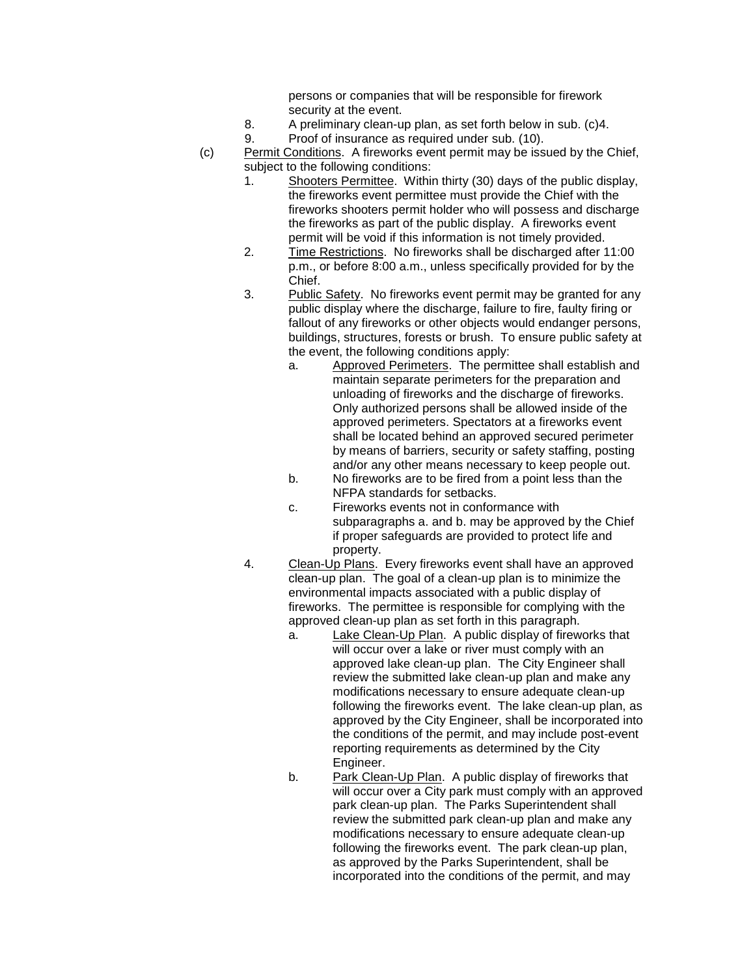persons or companies that will be responsible for firework security at the event.

- 8. A preliminary clean-up plan, as set forth below in sub. (c)4.
- 9. Proof of insurance as required under sub. (10).
- (c) Permit Conditions. A fireworks event permit may be issued by the Chief, subject to the following conditions:
	- 1. Shooters Permittee. Within thirty (30) days of the public display, the fireworks event permittee must provide the Chief with the fireworks shooters permit holder who will possess and discharge the fireworks as part of the public display. A fireworks event permit will be void if this information is not timely provided.
	- 2. Time Restrictions. No fireworks shall be discharged after 11:00 p.m., or before 8:00 a.m., unless specifically provided for by the Chief.
	- 3. Public Safety. No fireworks event permit may be granted for any public display where the discharge, failure to fire, faulty firing or fallout of any fireworks or other objects would endanger persons, buildings, structures, forests or brush. To ensure public safety at the event, the following conditions apply:
		- a. Approved Perimeters. The permittee shall establish and maintain separate perimeters for the preparation and unloading of fireworks and the discharge of fireworks. Only authorized persons shall be allowed inside of the approved perimeters. Spectators at a fireworks event shall be located behind an approved secured perimeter by means of barriers, security or safety staffing, posting and/or any other means necessary to keep people out.
		- b. No fireworks are to be fired from a point less than the NFPA standards for setbacks.
		- c. Fireworks events not in conformance with subparagraphs a. and b. may be approved by the Chief if proper safeguards are provided to protect life and property.
	- 4. Clean-Up Plans. Every fireworks event shall have an approved clean-up plan. The goal of a clean-up plan is to minimize the environmental impacts associated with a public display of fireworks. The permittee is responsible for complying with the approved clean-up plan as set forth in this paragraph.
		- a. Lake Clean-Up Plan. A public display of fireworks that will occur over a lake or river must comply with an approved lake clean-up plan. The City Engineer shall review the submitted lake clean-up plan and make any modifications necessary to ensure adequate clean-up following the fireworks event. The lake clean-up plan, as approved by the City Engineer, shall be incorporated into the conditions of the permit, and may include post-event reporting requirements as determined by the City Engineer.
		- b. Park Clean-Up Plan. A public display of fireworks that will occur over a City park must comply with an approved park clean-up plan. The Parks Superintendent shall review the submitted park clean-up plan and make any modifications necessary to ensure adequate clean-up following the fireworks event. The park clean-up plan, as approved by the Parks Superintendent, shall be incorporated into the conditions of the permit, and may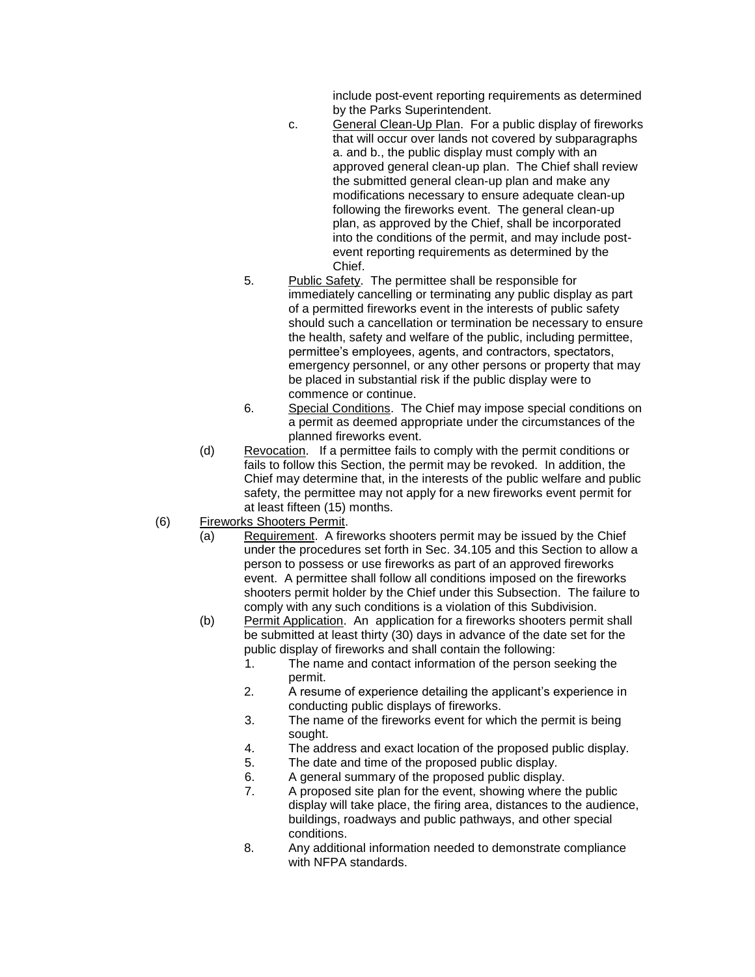include post-event reporting requirements as determined by the Parks Superintendent.

- c. General Clean-Up Plan. For a public display of fireworks that will occur over lands not covered by subparagraphs a. and b., the public display must comply with an approved general clean-up plan. The Chief shall review the submitted general clean-up plan and make any modifications necessary to ensure adequate clean-up following the fireworks event. The general clean-up plan, as approved by the Chief, shall be incorporated into the conditions of the permit, and may include postevent reporting requirements as determined by the Chief.
- 5. Public Safety. The permittee shall be responsible for immediately cancelling or terminating any public display as part of a permitted fireworks event in the interests of public safety should such a cancellation or termination be necessary to ensure the health, safety and welfare of the public, including permittee, permittee's employees, agents, and contractors, spectators, emergency personnel, or any other persons or property that may be placed in substantial risk if the public display were to commence or continue.
- 6. Special Conditions. The Chief may impose special conditions on a permit as deemed appropriate under the circumstances of the planned fireworks event.
- (d) Revocation. If a permittee fails to comply with the permit conditions or fails to follow this Section, the permit may be revoked. In addition, the Chief may determine that, in the interests of the public welfare and public safety, the permittee may not apply for a new fireworks event permit for at least fifteen (15) months.
- (6) Fireworks Shooters Permit.
	- (a) Requirement. A fireworks shooters permit may be issued by the Chief under the procedures set forth in Sec. 34.105 and this Section to allow a person to possess or use fireworks as part of an approved fireworks event. A permittee shall follow all conditions imposed on the fireworks shooters permit holder by the Chief under this Subsection. The failure to comply with any such conditions is a violation of this Subdivision.
	- (b) Permit Application. An application for a fireworks shooters permit shall be submitted at least thirty (30) days in advance of the date set for the public display of fireworks and shall contain the following:
		- 1. The name and contact information of the person seeking the permit.
		- 2. A resume of experience detailing the applicant's experience in conducting public displays of fireworks.
		- 3. The name of the fireworks event for which the permit is being sought.
		- 4. The address and exact location of the proposed public display.
		- 5. The date and time of the proposed public display.
		- 6. A general summary of the proposed public display.
		- 7. A proposed site plan for the event, showing where the public display will take place, the firing area, distances to the audience, buildings, roadways and public pathways, and other special conditions.
		- 8. Any additional information needed to demonstrate compliance with NFPA standards.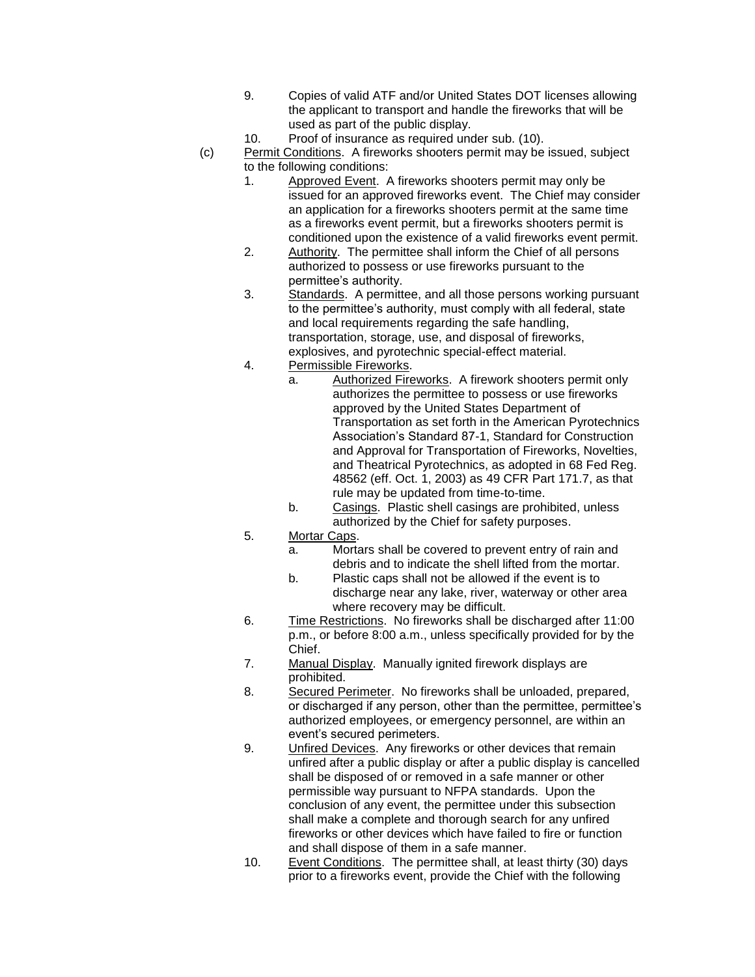- 9. Copies of valid ATF and/or United States DOT licenses allowing the applicant to transport and handle the fireworks that will be used as part of the public display.
- 10. Proof of insurance as required under sub. (10).
- (c) Permit Conditions. A fireworks shooters permit may be issued, subject to the following conditions:
	- 1. Approved Event. A fireworks shooters permit may only be issued for an approved fireworks event. The Chief may consider an application for a fireworks shooters permit at the same time as a fireworks event permit, but a fireworks shooters permit is conditioned upon the existence of a valid fireworks event permit.
	- 2. Authority. The permittee shall inform the Chief of all persons authorized to possess or use fireworks pursuant to the permittee's authority.
	- 3. Standards. A permittee, and all those persons working pursuant to the permittee's authority, must comply with all federal, state and local requirements regarding the safe handling, transportation, storage, use, and disposal of fireworks, explosives, and pyrotechnic special-effect material.
	- 4. Permissible Fireworks.
		- a. Authorized Fireworks. A firework shooters permit only authorizes the permittee to possess or use fireworks approved by the United States Department of Transportation as set forth in the American Pyrotechnics Association's Standard 87-1, Standard for Construction and Approval for Transportation of Fireworks, Novelties, and Theatrical Pyrotechnics, as adopted in 68 Fed Reg. 48562 (eff. Oct. 1, 2003) as 49 CFR Part 171.7, as that rule may be updated from time-to-time.
			- b. Casings. Plastic shell casings are prohibited, unless authorized by the Chief for safety purposes.
	- 5. Mortar Caps.
		- a. Mortars shall be covered to prevent entry of rain and debris and to indicate the shell lifted from the mortar.
		- b. Plastic caps shall not be allowed if the event is to discharge near any lake, river, waterway or other area where recovery may be difficult.
	- 6. Time Restrictions. No fireworks shall be discharged after 11:00 p.m., or before 8:00 a.m., unless specifically provided for by the Chief.
	- 7. Manual Display. Manually ignited firework displays are prohibited.
	- 8. Secured Perimeter. No fireworks shall be unloaded, prepared, or discharged if any person, other than the permittee, permittee's authorized employees, or emergency personnel, are within an event's secured perimeters.
	- 9. Unfired Devices. Any fireworks or other devices that remain unfired after a public display or after a public display is cancelled shall be disposed of or removed in a safe manner or other permissible way pursuant to NFPA standards. Upon the conclusion of any event, the permittee under this subsection shall make a complete and thorough search for any unfired fireworks or other devices which have failed to fire or function and shall dispose of them in a safe manner.
	- 10. Event Conditions. The permittee shall, at least thirty (30) days prior to a fireworks event, provide the Chief with the following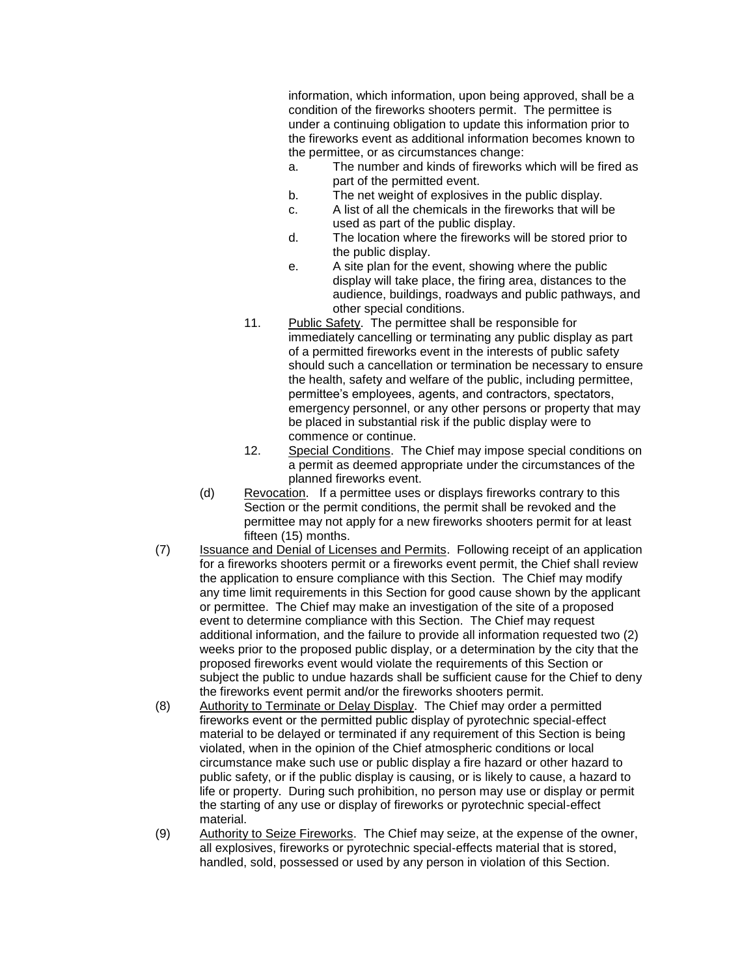information, which information, upon being approved, shall be a condition of the fireworks shooters permit. The permittee is under a continuing obligation to update this information prior to the fireworks event as additional information becomes known to the permittee, or as circumstances change:

- a. The number and kinds of fireworks which will be fired as part of the permitted event.
- b. The net weight of explosives in the public display.
- c. A list of all the chemicals in the fireworks that will be used as part of the public display.
- d. The location where the fireworks will be stored prior to the public display.
- e. A site plan for the event, showing where the public display will take place, the firing area, distances to the audience, buildings, roadways and public pathways, and other special conditions.
- 11. Public Safety. The permittee shall be responsible for immediately cancelling or terminating any public display as part of a permitted fireworks event in the interests of public safety should such a cancellation or termination be necessary to ensure the health, safety and welfare of the public, including permittee, permittee's employees, agents, and contractors, spectators, emergency personnel, or any other persons or property that may be placed in substantial risk if the public display were to commence or continue.
- 12. Special Conditions. The Chief may impose special conditions on a permit as deemed appropriate under the circumstances of the planned fireworks event.
- (d) Revocation. If a permittee uses or displays fireworks contrary to this Section or the permit conditions, the permit shall be revoked and the permittee may not apply for a new fireworks shooters permit for at least fifteen (15) months.
- (7) Issuance and Denial of Licenses and Permits. Following receipt of an application for a fireworks shooters permit or a fireworks event permit, the Chief shall review the application to ensure compliance with this Section. The Chief may modify any time limit requirements in this Section for good cause shown by the applicant or permittee. The Chief may make an investigation of the site of a proposed event to determine compliance with this Section. The Chief may request additional information, and the failure to provide all information requested two (2) weeks prior to the proposed public display, or a determination by the city that the proposed fireworks event would violate the requirements of this Section or subject the public to undue hazards shall be sufficient cause for the Chief to deny the fireworks event permit and/or the fireworks shooters permit.
- (8) Authority to Terminate or Delay Display. The Chief may order a permitted fireworks event or the permitted public display of pyrotechnic special-effect material to be delayed or terminated if any requirement of this Section is being violated, when in the opinion of the Chief atmospheric conditions or local circumstance make such use or public display a fire hazard or other hazard to public safety, or if the public display is causing, or is likely to cause, a hazard to life or property. During such prohibition, no person may use or display or permit the starting of any use or display of fireworks or pyrotechnic special-effect material.
- (9) Authority to Seize Fireworks. The Chief may seize, at the expense of the owner, all explosives, fireworks or pyrotechnic special-effects material that is stored, handled, sold, possessed or used by any person in violation of this Section.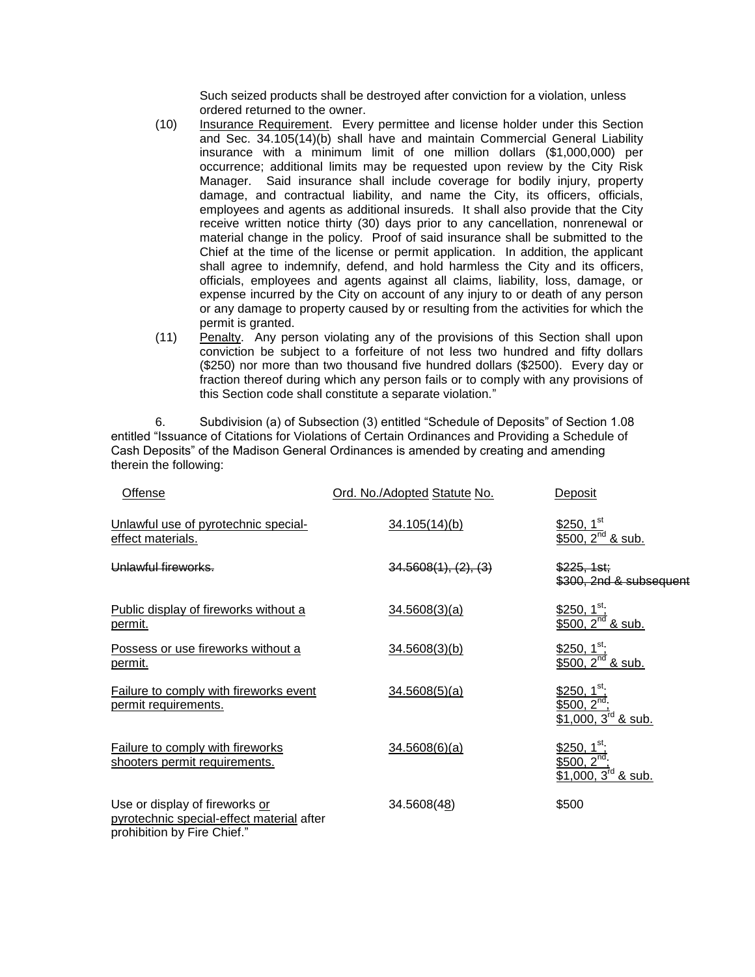Such seized products shall be destroyed after conviction for a violation, unless ordered returned to the owner.

- (10) Insurance Requirement. Every permittee and license holder under this Section and Sec. 34.105(14)(b) shall have and maintain Commercial General Liability insurance with a minimum limit of one million dollars (\$1,000,000) per occurrence; additional limits may be requested upon review by the City Risk Manager. Said insurance shall include coverage for bodily injury, property damage, and contractual liability, and name the City, its officers, officials, employees and agents as additional insureds. It shall also provide that the City receive written notice thirty (30) days prior to any cancellation, nonrenewal or material change in the policy. Proof of said insurance shall be submitted to the Chief at the time of the license or permit application. In addition, the applicant shall agree to indemnify, defend, and hold harmless the City and its officers, officials, employees and agents against all claims, liability, loss, damage, or expense incurred by the City on account of any injury to or death of any person or any damage to property caused by or resulting from the activities for which the permit is granted.
- (11) Penalty. Any person violating any of the provisions of this Section shall upon conviction be subject to a forfeiture of not less two hundred and fifty dollars (\$250) nor more than two thousand five hundred dollars (\$2500). Every day or fraction thereof during which any person fails or to comply with any provisions of this Section code shall constitute a separate violation."

6. Subdivision (a) of Subsection (3) entitled "Schedule of Deposits" of Section 1.08 entitled "Issuance of Citations for Violations of Certain Ordinances and Providing a Schedule of Cash Deposits" of the Madison General Ordinances is amended by creating and amending therein the following:

| Offense                                                                                                    | Ord. No./Adopted Statute No. | Deposit                                                                             |
|------------------------------------------------------------------------------------------------------------|------------------------------|-------------------------------------------------------------------------------------|
| Unlawful use of pyrotechnic special-<br>effect materials.                                                  | 34.105(14)(b)                | \$250, $1^{\text{st}}$<br>\$500, $2^{nd}$ & sub.                                    |
| <b>Unlawful fireworks</b>                                                                                  | 34.5608(1), (2), (3)         | \$225, 1st;<br>\$300, 2nd & subsequent                                              |
| Public display of fireworks without a<br>permit.                                                           | 34.5608(3)(a)                | $$250, 1st$ ;<br>\$500, $2^{nd}$ & sub.                                             |
| Possess or use fireworks without a<br><u>permit.</u>                                                       | 34.5608(3)(b)                | \$250, $1^{\text{st}}$<br>\$500, $2^{nd}$ & sub.                                    |
| <b>Failure to comply with fireworks event</b><br>permit requirements.                                      | 34.5608(5)(a)                | \$250, 1 <sup>st</sup><br>\$500, 2 <sup>nd</sup><br>\$1,000, $3^{\text{rd}}$ & sub. |
| Failure to comply with fireworks<br>shooters permit requirements.                                          | 34.5608(6)(a)                | <u>\$250, 1<sup>st</sup>;</u><br>\$500, $2^{nd}$<br>$$1,000, 3^{\text{rd}}$ & sub.  |
| Use or display of fireworks or<br>pyrotechnic special-effect material after<br>prohibition by Fire Chief." | 34.5608(48)                  | \$500                                                                               |